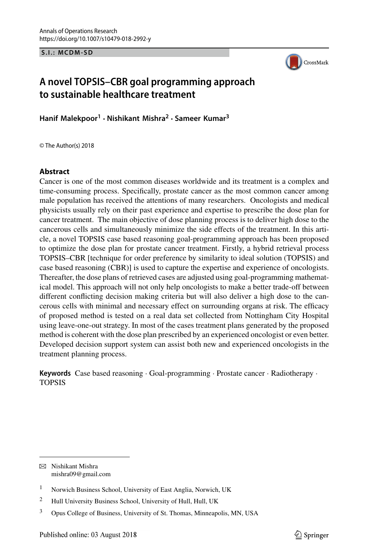**S.I.: MCDM-SD**



# **A novel TOPSIS–CBR goal programming approach to sustainable healthcare treatment**

**Hanif Malekpoor<sup>1</sup> · Nishikant Mishra2 · Sameer Kumar<sup>3</sup>**

© The Author(s) 2018

#### **Abstract**

Cancer is one of the most common diseases worldwide and its treatment is a complex and time-consuming process. Specifically, prostate cancer as the most common cancer among male population has received the attentions of many researchers. Oncologists and medical physicists usually rely on their past experience and expertise to prescribe the dose plan for cancer treatment. The main objective of dose planning process is to deliver high dose to the cancerous cells and simultaneously minimize the side effects of the treatment. In this article, a novel TOPSIS case based reasoning goal-programming approach has been proposed to optimize the dose plan for prostate cancer treatment. Firstly, a hybrid retrieval process TOPSIS–CBR [technique for order preference by similarity to ideal solution (TOPSIS) and case based reasoning (CBR)] is used to capture the expertise and experience of oncologists. Thereafter, the dose plans of retrieved cases are adjusted using goal-programming mathematical model. This approach will not only help oncologists to make a better trade-off between different conflicting decision making criteria but will also deliver a high dose to the cancerous cells with minimal and necessary effect on surrounding organs at risk. The efficacy of proposed method is tested on a real data set collected from Nottingham City Hospital using leave-one-out strategy. In most of the cases treatment plans generated by the proposed method is coherent with the dose plan prescribed by an experienced oncologist or even better. Developed decision support system can assist both new and experienced oncologists in the treatment planning process.

**Keywords** Case based reasoning · Goal-programming · Prostate cancer · Radiotherapy · TOPSIS

B Nishikant Mishra mishra09@gmail.com

<sup>1</sup> Norwich Business School, University of East Anglia, Norwich, UK

<sup>&</sup>lt;sup>2</sup> Hull University Business School, University of Hull, Hull, UK

<sup>3</sup> Opus College of Business, University of St. Thomas, Minneapolis, MN, USA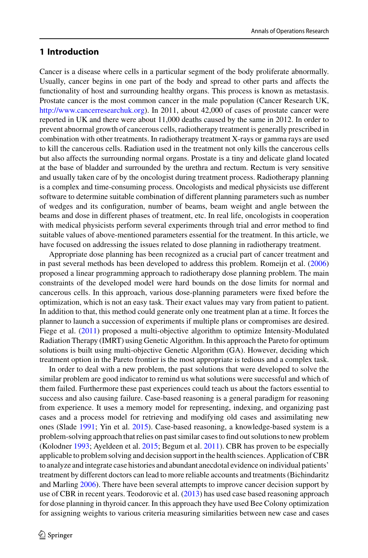### **1 Introduction**

Cancer is a disease where cells in a particular segment of the body proliferate abnormally. Usually, cancer begins in one part of the body and spread to other parts and affects the functionality of host and surrounding healthy organs. This process is known as metastasis. Prostate cancer is the most common cancer in the male population (Cancer Research UK, [http://www.cancerresearchuk.org\)](http://www.cancerresearchuk.org). In 2011, about 42,000 of cases of prostate cancer were reported in UK and there were about 11,000 deaths caused by the same in 2012. In order to prevent abnormal growth of cancerous cells, radiotherapy treatment is generally prescribed in combination with other treatments. In radiotherapy treatment X-rays or gamma rays are used to kill the cancerous cells. Radiation used in the treatment not only kills the cancerous cells but also affects the surrounding normal organs. Prostate is a tiny and delicate gland located at the base of bladder and surrounded by the urethra and rectum. Rectum is very sensitive and usually taken care of by the oncologist during treatment process. Radiotherapy planning is a complex and time-consuming process. Oncologists and medical physicists use different software to determine suitable combination of different planning parameters such as number of wedges and its configuration, number of beams, beam weight and angle between the beams and dose in different phases of treatment, etc. In real life, oncologists in cooperation with medical physicists perform several experiments through trial and error method to find suitable values of above-mentioned parameters essential for the treatment. In this article, we have focused on addressing the issues related to dose planning in radiotherapy treatment.

Appropriate dose planning has been recognized as a crucial part of cancer treatment and in past several methods has been developed to address this problem. Romeijn et al. [\(2006\)](#page-22-0) proposed a linear programming approach to radiotherapy dose planning problem. The main constraints of the developed model were hard bounds on the dose limits for normal and cancerous cells. In this approach, various dose-planning parameters were fixed before the optimization, which is not an easy task. Their exact values may vary from patient to patient. In addition to that, this method could generate only one treatment plan at a time. It forces the planner to launch a succession of experiments if multiple plans or compromises are desired. Fiege et al. [\(2011\)](#page-21-0) proposed a multi-objective algorithm to optimize Intensity-Modulated Radiation Therapy (IMRT) using Genetic Algorithm. In this approach the Pareto for optimum solutions is built using multi-objective Genetic Algorithm (GA). However, deciding which treatment option in the Pareto frontier is the most appropriate is tedious and a complex task.

In order to deal with a new problem, the past solutions that were developed to solve the similar problem are good indicator to remind us what solutions were successful and which of them failed. Furthermore these past experiences could teach us about the factors essential to success and also causing failure. Case-based reasoning is a general paradigm for reasoning from experience. It uses a memory model for representing, indexing, and organizing past cases and a process model for retrieving and modifying old cases and assimilating new ones (Slade [1991;](#page-22-1) Yin et al. [2015\)](#page-22-2). Case-based reasoning, a knowledge-based system is a problem-solving approach that relies on past similar cases to find out solutions to new problem (Kolodner [1993;](#page-21-1) Ayeldeen et al. [2015;](#page-20-0) Begum et al. [2011\)](#page-20-1). CBR has proven to be especially applicable to problem solving and decision support in the health sciences. Application of CBR to analyze and integrate case histories and abundant anecdotal evidence on individual patients' treatment by different doctors can lead to more reliable accounts and treatments (Bichindaritz and Marling [2006\)](#page-20-2). There have been several attempts to improve cancer decision support by use of CBR in recent years. Teodorovic et al. [\(2013\)](#page-22-3) has used case based reasoning approach for dose planning in thyroid cancer. In this approach they have used Bee Colony optimization for assigning weights to various criteria measuring similarities between new case and cases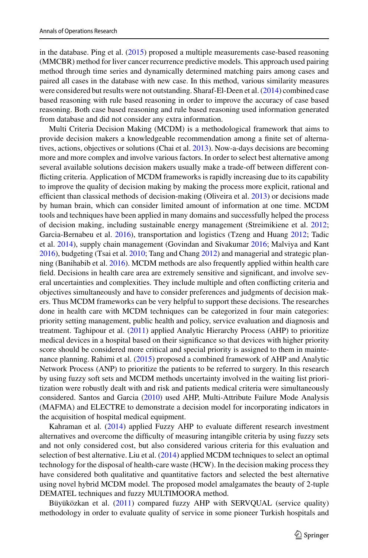in the database. Ping et al. [\(2015\)](#page-22-4) proposed a multiple measurements case-based reasoning (MMCBR) method for liver cancer recurrence predictive models. This approach used pairing method through time series and dynamically determined matching pairs among cases and paired all cases in the database with new case. In this method, various similarity measures were considered but results were not outstanding. Sharaf-El-Deen et al. [\(2014\)](#page-22-5) combined case based reasoning with rule based reasoning in order to improve the accuracy of case based reasoning. Both case based reasoning and rule based reasoning used information generated from database and did not consider any extra information.

Multi Criteria Decision Making (MCDM) is a methodological framework that aims to provide decision makers a knowledgeable recommendation among a finite set of alterna-tives, actions, objectives or solutions (Chai et al. [2013\)](#page-20-3). Now-a-days decisions are becoming more and more complex and involve various factors. In order to select best alternative among several available solutions decision makers usually make a trade-off between different conflicting criteria. Application of MCDM frameworks is rapidly increasing due to its capability to improve the quality of decision making by making the process more explicit, rational and efficient than classical methods of decision-making (Oliveira et al. [2013\)](#page-21-2) or decisions made by human brain, which can consider limited amount of information at one time. MCDM tools and techniques have been applied in many domains and successfully helped the process of decision making, including sustainable energy management (Streimikiene et al. [2012;](#page-22-6) Garcia-Bernabeu et al. [2016\)](#page-21-3), transportation and logistics (Tzeng and Huang [2012;](#page-22-7) Tadic et al. [2014\)](#page-22-8), supply chain management (Govindan and Sivakumar [2016;](#page-21-4) Malviya and Kant [2016\)](#page-21-5), budgeting (Tsai et al. [2010;](#page-22-9) Tang and Chang [2012\)](#page-22-10) and managerial and strategic planning (Banihabib et al. [2016\)](#page-20-4). MCDM methods are also frequently applied within health care field. Decisions in health care area are extremely sensitive and significant, and involve several uncertainties and complexities. They include multiple and often conflicting criteria and objectives simultaneously and have to consider preferences and judgments of decision makers. Thus MCDM frameworks can be very helpful to support these decisions. The researches done in health care with MCDM techniques can be categorized in four main categories: priority setting management, public health and policy, service evaluation and diagnosis and treatment. Taghipour et al. [\(2011\)](#page-22-11) applied Analytic Hierarchy Process (AHP) to prioritize medical devices in a hospital based on their significance so that devices with higher priority score should be considered more critical and special priority is assigned to them in maintenance planning. Rahimi et al. [\(2015\)](#page-22-12) proposed a combined framework of AHP and Analytic Network Process (ANP) to prioritize the patients to be referred to surgery. In this research by using fuzzy soft sets and MCDM methods uncertainty involved in the waiting list prioritization were robustly dealt with and risk and patients medical criteria were simultaneously considered. Santos and Garcia [\(2010\)](#page-22-13) used AHP, Multi-Attribute Failure Mode Analysis (MAFMA) and ELECTRE to demonstrate a decision model for incorporating indicators in the acquisition of hospital medical equipment.

Kahraman et al. [\(2014\)](#page-21-6) applied Fuzzy AHP to evaluate different research investment alternatives and overcome the difficulty of measuring intangible criteria by using fuzzy sets and not only considered cost, but also considered various criteria for this evaluation and selection of best alternative. Liu et al. [\(2014\)](#page-21-7) applied MCDM techniques to select an optimal technology for the disposal of health-care waste (HCW). In the decision making process they have considered both qualitative and quantitative factors and selected the best alternative using novel hybrid MCDM model. The proposed model amalgamates the beauty of 2-tuple DEMATEL techniques and fuzzy MULTIMOORA method.

Büyüközkan et al. [\(2011\)](#page-20-5) compared fuzzy AHP with SERVQUAL (service quality) methodology in order to evaluate quality of service in some pioneer Turkish hospitals and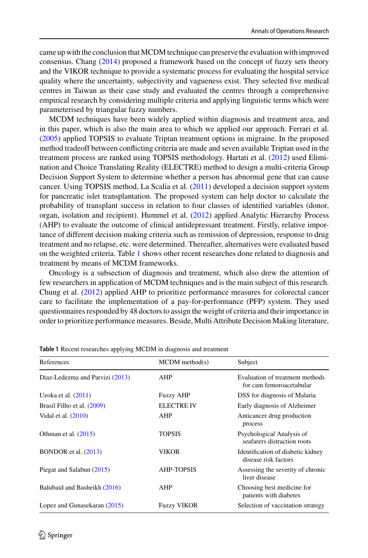came up with the conclusion that MCDM technique can preserve the evaluation with improved consensus. Chang [\(2014\)](#page-20-6) proposed a framework based on the concept of fuzzy sets theory and the VIKOR technique to provide a systematic process for evaluating the hospital service quality where the uncertainty, subjectivity and vagueness exist. They selected five medical centres in Taiwan as their case study and evaluated the centres through a comprehensive empirical research by considering multiple criteria and applying linguistic terms which were parameterised by triangular fuzzy numbers.

MCDM techniques have been widely applied within diagnosis and treatment area, and in this paper, which is also the main area to which we applied our approach. Ferrari et al. [\(2005\)](#page-21-8) applied TOPSIS to evaluate Triptan treatment options in migraine. In the proposed method tradeoff between conflicting criteria are made and seven available Triptan used in the treatment process are ranked using TOPSIS methodology. Hartati et al. [\(2012\)](#page-21-9) used Elimination and Choice Translating Reality (ELECTRE) method to design a multi-criteria Group Decision Support System to determine whether a person has abnormal gene that can cause cancer. Using TOPSIS method, La Scalia et al. [\(2011\)](#page-21-10) developed a decision support system for pancreatic islet transplantation. The proposed system can help doctor to calculate the probability of transplant success in relation to four classes of identified variables (donor, organ, isolation and recipient). Hummel et al. [\(2012\)](#page-21-11) applied Analytic Hierarchy Process (AHP) to evaluate the outcome of clinical antidepressant treatment. Firstly, relative importance of different decision making criteria such as remission of depression, response to drug treatment and no relapse, etc. were determined. Thereafter, alternatives were evaluated based on the weighted criteria. Table [1](#page-3-0) shows other recent researches done related to diagnosis and treatment by means of MCDM frameworks.

Oncology is a subsection of diagnosis and treatment, which also drew the attention of few researchers in application of MCDM techniques and is the main subject of this research. Chung et al. [\(2012\)](#page-20-7) applied AHP to prioritize performance measures for colorectal cancer care to facilitate the implementation of a pay-for-performance (PFP) system. They used questionnaires responded by 48 doctors to assign the weight of criteria and their importance in order to prioritize performance measures. Beside, Multi Attribute Decision Making literature,

<span id="page-3-0"></span>

| $MCDM$ method(s)   | Subject                                                     |
|--------------------|-------------------------------------------------------------|
| AHP                | Evaluation of treatment methods<br>for cam femoroacetabular |
| <b>Fuzzy AHP</b>   | DSS for diagnosis of Malaria                                |
| <b>ELECTRE IV</b>  | Early diagnosis of Alzheimer                                |
| AHP                | Anticancer drug production<br>process                       |
| TOPSIS             | Psychological Analysis of<br>seafarers distraction roots    |
| VIKOR              | Identification of diabetic kidney<br>disease risk factors   |
| <b>AHP-TOPSIS</b>  | Assessing the severity of chronic<br>liver disease          |
| AHP                | Choosing best medicine for<br>patients with diabetes        |
| <b>Fuzzy VIKOR</b> | Selection of vaccination strategy                           |
|                    |                                                             |

**Table 1** Recent researches applying MCDM in diagnosis and treatment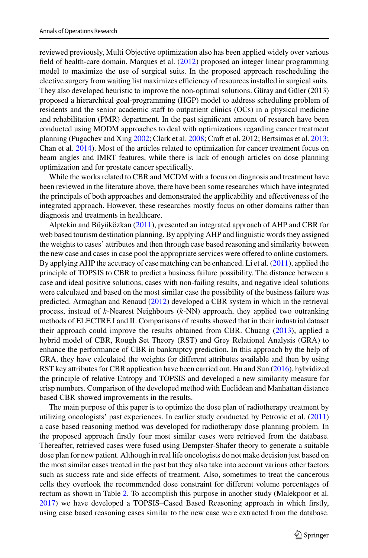reviewed previously, Multi Objective optimization also has been applied widely over various field of health-care domain. Marques et al. [\(2012\)](#page-21-15) proposed an integer linear programming model to maximize the use of surgical suits. In the proposed approach rescheduling the elective surgery from waiting list maximizes efficiency of resources installed in surgical suits. They also developed heuristic to improve the non-optimal solutions. Güray and Güler (2013) proposed a hierarchical goal-programming (HGP) model to address scheduling problem of residents and the senior academic staff to outpatient clinics (OCs) in a physical medicine and rehabilitation (PMR) department. In the past significant amount of research have been conducted using MODM approaches to deal with optimizations regarding cancer treatment planning (Pugachev and Xing [2002;](#page-22-17) Clark et al. [2008;](#page-21-16) Craft et al. 2012; Bertsimas et al. [2013;](#page-20-11) Chan et al. [2014\)](#page-20-12). Most of the articles related to optimization for cancer treatment focus on beam angles and IMRT features, while there is lack of enough articles on dose planning optimization and for prostate cancer specifically.

While the works related to CBR and MCDM with a focus on diagnosis and treatment have been reviewed in the literature above, there have been some researches which have integrated the principals of both approaches and demonstrated the applicability and effectiveness of the integrated approach. However, these researches mostly focus on other domains rather than diagnosis and treatments in healthcare.

Alptekin and Büyüközkan [\(2011\)](#page-20-13), presented an integrated approach of AHP and CBR for web based tourism destination planning. By applying AHP and linguistic words they assigned the weights to cases' attributes and then through case based reasoning and similarity between the new case and cases in case pool the appropriate services were offered to online customers. By applying AHP the accuracy of case matching can be enhanced. Li et al. [\(2011\)](#page-21-17), applied the principle of TOPSIS to CBR to predict a business failure possibility. The distance between a case and ideal positive solutions, cases with non-failing results, and negative ideal solutions were calculated and based on the most similar case the possibility of the business failure was predicted. Armaghan and Renaud [\(2012\)](#page-20-14) developed a CBR system in which in the retrieval process, instead of *k*-Nearest Neighbours (*k*-NN) approach, they applied two outranking methods of ELECTRE I and II. Comparisons of results showed that in their industrial dataset their approach could improve the results obtained from CBR. Chuang [\(2013\)](#page-20-15), applied a hybrid model of CBR, Rough Set Theory (RST) and Grey Relational Analysis (GRA) to enhance the performance of CBR in bankruptcy prediction. In this approach by the help of GRA, they have calculated the weights for different attributes available and then by using RST key attributes for CBR application have been carried out. Hu and Sun [\(2016\)](#page-21-18), hybridized the principle of relative Entropy and TOPSIS and developed a new similarity measure for crisp numbers. Comparison of the developed method with Euclidean and Manhattan distance based CBR showed improvements in the results.

The main purpose of this paper is to optimize the dose plan of radiotherapy treatment by utilizing oncologists' past experiences. In earlier study conducted by Petrovic et al. [\(2011\)](#page-22-18) a case based reasoning method was developed for radiotherapy dose planning problem. In the proposed approach firstly four most similar cases were retrieved from the database. Thereafter, retrieved cases were fused using Dempster-Shafer theory to generate a suitable dose plan for new patient. Although in real life oncologists do not make decision just based on the most similar cases treated in the past but they also take into account various other factors such as success rate and side effects of treatment. Also, sometimes to treat the cancerous cells they overlook the recommended dose constraint for different volume percentages of rectum as shown in Table [2.](#page-5-0) To accomplish this purpose in another study (Malekpoor et al. [2017\)](#page-21-19) we have developed a TOPSIS–Cased Based Reasoning approach in which firstly, using case based reasoning cases similar to the new case were extracted from the database.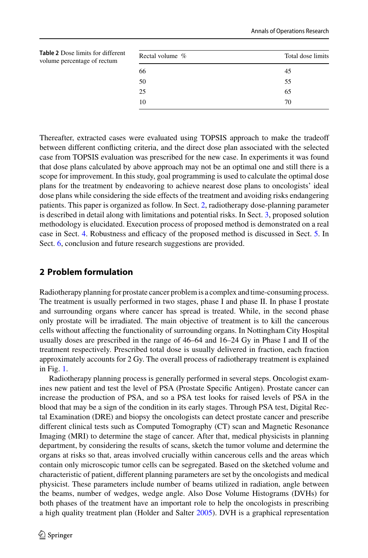<span id="page-5-0"></span>

| <b>Table 2</b> Dose limits for different<br>volume percentage of rectum | Rectal volume % | Total dose limits |
|-------------------------------------------------------------------------|-----------------|-------------------|
|                                                                         | 66              | 45                |
|                                                                         | 50              | 55                |
|                                                                         | 25              | 65                |
|                                                                         | 10              | 70                |
|                                                                         |                 |                   |

Thereafter, extracted cases were evaluated using TOPSIS approach to make the tradeoff between different conflicting criteria, and the direct dose plan associated with the selected case from TOPSIS evaluation was prescribed for the new case. In experiments it was found that dose plans calculated by above approach may not be an optimal one and still there is a scope for improvement. In this study, goal programming is used to calculate the optimal dose plans for the treatment by endeavoring to achieve nearest dose plans to oncologists' ideal dose plans while considering the side effects of the treatment and avoiding risks endangering patients. This paper is organized as follow. In Sect. [2,](#page-5-1) radiotherapy dose-planning parameter is described in detail along with limitations and potential risks. In Sect. [3,](#page-7-0) proposed solution methodology is elucidated. Execution process of proposed method is demonstrated on a real case in Sect. [4.](#page-15-0) Robustness and efficacy of the proposed method is discussed in Sect. [5.](#page-17-0) In Sect. [6,](#page-19-0) conclusion and future research suggestions are provided.

## <span id="page-5-1"></span>**2 Problem formulation**

Radiotherapy planning for prostate cancer problem is a complex and time-consuming process. The treatment is usually performed in two stages, phase I and phase II. In phase I prostate and surrounding organs where cancer has spread is treated. While, in the second phase only prostate will be irradiated. The main objective of treatment is to kill the cancerous cells without affecting the functionality of surrounding organs. In Nottingham City Hospital usually doses are prescribed in the range of 46–64 and 16–24 Gy in Phase I and II of the treatment respectively. Prescribed total dose is usually delivered in fraction, each fraction approximately accounts for 2 Gy. The overall process of radiotherapy treatment is explained in Fig. [1.](#page-6-0)

Radiotherapy planning process is generally performed in several steps. Oncologist examines new patient and test the level of PSA (Prostate Specific Antigen). Prostate cancer can increase the production of PSA, and so a PSA test looks for raised levels of PSA in the blood that may be a sign of the condition in its early stages. Through PSA test, Digital Rectal Examination (DRE) and biopsy the oncologists can detect prostate cancer and prescribe different clinical tests such as Computed Tomography (CT) scan and Magnetic Resonance Imaging (MRI) to determine the stage of cancer. After that, medical physicists in planning department, by considering the results of scans, sketch the tumor volume and determine the organs at risks so that, areas involved crucially within cancerous cells and the areas which contain only microscopic tumor cells can be segregated. Based on the sketched volume and characteristic of patient, different planning parameters are set by the oncologists and medical physicist. These parameters include number of beams utilized in radiation, angle between the beams, number of wedges, wedge angle. Also Dose Volume Histograms (DVHs) for both phases of the treatment have an important role to help the oncologists in prescribing a high quality treatment plan (Holder and Salter [2005\)](#page-21-20). DVH is a graphical representation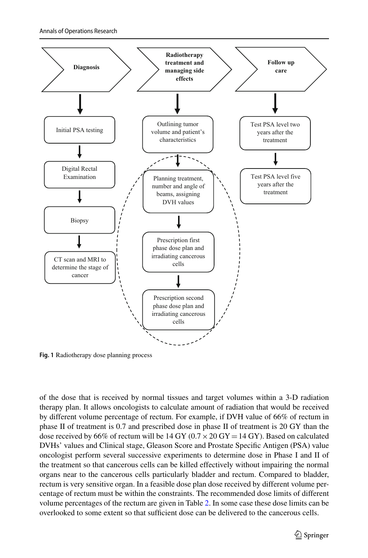

<span id="page-6-0"></span>**Fig. 1** Radiotherapy dose planning process

of the dose that is received by normal tissues and target volumes within a 3-D radiation therapy plan. It allows oncologists to calculate amount of radiation that would be received by different volume percentage of rectum. For example, if DVH value of 66% of rectum in phase II of treatment is 0.7 and prescribed dose in phase II of treatment is 20 GY than the dose received by 66% of rectum will be  $14 \text{ GY}$  (0.7  $\times$  20  $\text{GY}$  = 14  $\text{GY}$ ). Based on calculated DVHs' values and Clinical stage, Gleason Score and Prostate Specific Antigen (PSA) value oncologist perform several successive experiments to determine dose in Phase I and II of the treatment so that cancerous cells can be killed effectively without impairing the normal organs near to the cancerous cells particularly bladder and rectum. Compared to bladder, rectum is very sensitive organ. In a feasible dose plan dose received by different volume percentage of rectum must be within the constraints. The recommended dose limits of different volume percentages of the rectum are given in Table [2.](#page-5-0) In some case these dose limits can be overlooked to some extent so that sufficient dose can be delivered to the cancerous cells.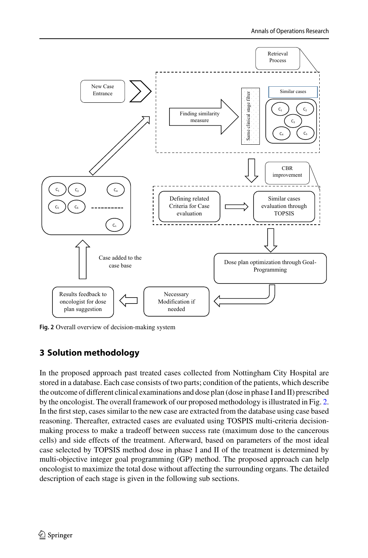

<span id="page-7-1"></span>**Fig. 2** Overall overview of decision-making system

## <span id="page-7-0"></span>**3 Solution methodology**

In the proposed approach past treated cases collected from Nottingham City Hospital are stored in a database. Each case consists of two parts; condition of the patients, which describe the outcome of different clinical examinations and dose plan (dose in phase I and II) prescribed by the oncologist. The overall framework of our proposed methodology is illustrated in Fig. [2.](#page-7-1) In the first step, cases similar to the new case are extracted from the database using case based reasoning. Thereafter, extracted cases are evaluated using TOSPIS multi-criteria decisionmaking process to make a tradeoff between success rate (maximum dose to the cancerous cells) and side effects of the treatment. Afterward, based on parameters of the most ideal case selected by TOPSIS method dose in phase I and II of the treatment is determined by multi-objective integer goal programming (GP) method. The proposed approach can help oncologist to maximize the total dose without affecting the surrounding organs. The detailed description of each stage is given in the following sub sections.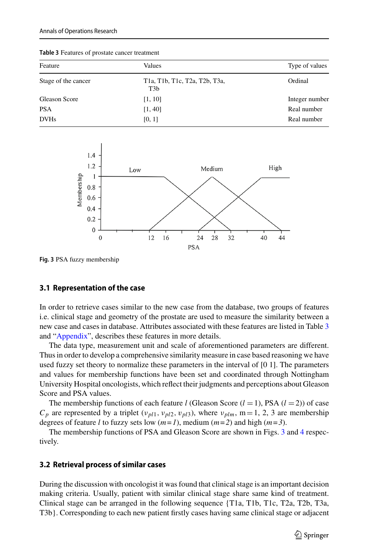| Values                                                                                                                          | Type of values |
|---------------------------------------------------------------------------------------------------------------------------------|----------------|
| T <sub>1</sub> a, T <sub>1</sub> b, T <sub>1</sub> c, T <sub>2a</sub> , T <sub>2b</sub> , T <sub>3a</sub> ,<br>T <sub>3</sub> b | Ordinal        |
| [1, 10]                                                                                                                         | Integer number |
| [1, 40]                                                                                                                         | Real number    |
| [0, 1]                                                                                                                          | Real number    |
|                                                                                                                                 |                |

<span id="page-8-0"></span>**Table 3** Features of prostate cancer treatment



<span id="page-8-1"></span>**Fig. 3** PSA fuzzy membership

#### **3.1 Representation of the case**

In order to retrieve cases similar to the new case from the database, two groups of features i.e. clinical stage and geometry of the prostate are used to measure the similarity between a new case and cases in database. Attributes associated with these features are listed in Table [3](#page-8-0) and ["Appendix"](#page-20-16), describes these features in more details.

The data type, measurement unit and scale of aforementioned parameters are different. Thus in order to develop a comprehensive similarity measure in case based reasoning we have used fuzzy set theory to normalize these parameters in the interval of [0 1]. The parameters and values for membership functions have been set and coordinated through Nottingham University Hospital oncologists, which reflect their judgments and perceptions about Gleason Score and PSA values.

The membership functions of each feature *l* (Gleason Score  $(l = 1)$ , PSA  $(l = 2)$ ) of case  $C_p$  are represented by a triplet ( $v_{pl1}$ ,  $v_{pl2}$ ,  $v_{pl3}$ ), where  $v_{plm}$ , m = 1, 2, 3 are membership degrees of feature *l* to fuzzy sets low  $(m=1)$ , medium  $(m=2)$  and high  $(m=3)$ .

The membership functions of PSA and Gleason Score are shown in Figs. [3](#page-8-1) and [4](#page-9-0) respectively.

#### **3.2 Retrieval process of similar cases**

During the discussion with oncologist it was found that clinical stage is an important decision making criteria. Usually, patient with similar clinical stage share same kind of treatment. Clinical stage can be arranged in the following sequence {T1a, T1b, T1c, T2a, T2b, T3a, T3b}. Corresponding to each new patient firstly cases having same clinical stage or adjacent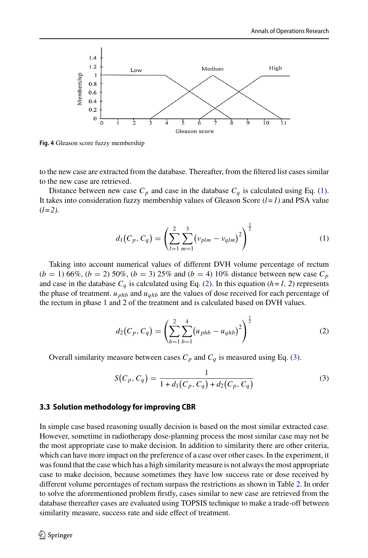

<span id="page-9-0"></span>**Fig. 4** Gleason score fuzzy membership

to the new case are extracted from the database. Thereafter, from the filtered list cases similar to the new case are retrieved.

Distance between new case  $C_p$  and case in the database  $C_q$  is calculated using Eq. [\(1\)](#page-9-1). It takes into consideration fuzzy membership values of Gleason Score (*l*=*1)* and PSA value  $(l=2)$ .

<span id="page-9-1"></span>
$$
d_1(C_p, C_q) = \left(\sum_{l=1}^2 \sum_{m=1}^3 (\nu_{plm} - \nu_{qlm})^2\right)^{\frac{1}{2}}
$$
(1)

Taking into account numerical values of different DVH volume percentage of rectum  $(b = 1)$  66%,  $(b = 2)$  50%,  $(b = 3)$  25% and  $(b = 4)$  10% distance between new case  $C_p$ and case in the database  $C_q$  is calculated using Eq. [\(2\)](#page-9-2). In this equation ( $h=1$ , 2) represents the phase of treatment. *u phb* and *uqhb* are the values of dose received for each percentage of the rectum in phase 1 and 2 of the treatment and is calculated based on DVH values.

<span id="page-9-2"></span>
$$
d_2(C_p, C_q) = \left(\sum_{h=1}^2 \sum_{b=1}^4 (u_{phb} - u_{qhb})^2\right)^{\frac{1}{2}}
$$
(2)

Overall similarity measure between cases  $C_p$  and  $C_q$  is measured using Eq. [\(3\)](#page-9-3).

<span id="page-9-3"></span>
$$
S(C_p, C_q) = \frac{1}{1 + d_1(C_p, C_q) + d_2(C_p, C_q)}
$$
\n(3)

#### **3.3 Solution methodology for improving CBR**

In simple case based reasoning usually decision is based on the most similar extracted case. However, sometime in radiotherapy dose-planning process the most similar case may not be the most appropriate case to make decision. In addition to similarity there are other criteria, which can have more impact on the preference of a case over other cases. In the experiment, it was found that the case which has a high similarity measure is not always the most appropriate case to make decision, because sometimes they have low success rate or dose received by different volume percentages of rectum surpass the restrictions as shown in Table [2.](#page-5-0) In order to solve the aforementioned problem firstly, cases similar to new case are retrieved from the database thereafter cases are evaluated using TOPSIS technique to make a trade-off between similarity measure, success rate and side effect of treatment.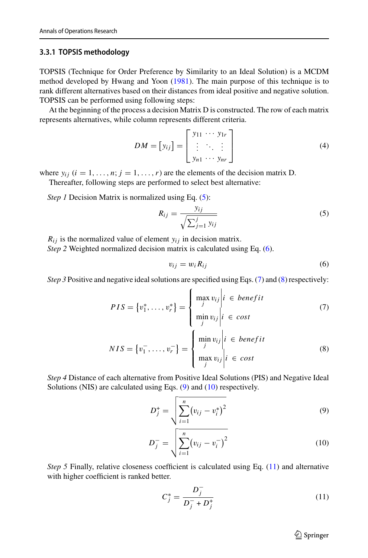#### **3.3.1 TOPSIS methodology**

TOPSIS (Technique for Order Preference by Similarity to an Ideal Solution) is a MCDM method developed by Hwang and Yoon [\(1981\)](#page-21-21). The main purpose of this technique is to rank different alternatives based on their distances from ideal positive and negative solution. TOPSIS can be performed using following steps:

At the beginning of the process a decision Matrix D is constructed. The row of each matrix represents alternatives, while column represents different criteria.

$$
DM = [y_{ij}] = \begin{bmatrix} y_{11} & \cdots & y_{1r} \\ \vdots & \ddots & \vdots \\ y_{n1} & \cdots & y_{nr} \end{bmatrix}
$$
 (4)

where  $y_{ij}$  ( $i = 1, ..., n; j = 1, ..., r$ ) are the elements of the decision matrix D.

Thereafter, following steps are performed to select best alternative:

*Step 1* Decision Matrix is normalized using Eq. [\(5\)](#page-10-0):

$$
R_{ij} = \frac{y_{ij}}{\sqrt{\sum_{j=1}^{j} y_{ij}}}
$$
\n(5)

 $R_{ij}$  is the normalized value of element  $y_{ij}$  in decision matrix.

*Step 2* Weighted normalized decision matrix is calculated using Eq. [\(6\)](#page-10-1).

<span id="page-10-3"></span><span id="page-10-2"></span><span id="page-10-1"></span><span id="page-10-0"></span>
$$
v_{ij} = w_i R_{ij} \tag{6}
$$

*Step 3* Positive and negative ideal solutions are specified using Eqs. [\(7\)](#page-10-2) and [\(8\)](#page-10-3) respectively:

$$
PIS = \{v_1^*, \dots, v_r^*\} = \begin{cases} \max_{j} v_{ij} \middle| i \in benefit \\ \min_{j} v_{ij} \middle| i \in cost \\ j \end{cases} \tag{7}
$$

$$
NIS = \{v_1^-, \dots, v_r^-\} = \begin{cases} \min_{j} v_{ij} \middle| i \in benefit \\ \max_{j} v_{ij} \middle| i \in cost \end{cases} \tag{8}
$$

*Step 4* Distance of each alternative from Positive Ideal Solutions (PIS) and Negative Ideal Solutions (NIS) are calculated using Eqs. [\(9\)](#page-10-4) and [\(10\)](#page-10-5) respectively.

$$
D_j^+ = \sqrt{\sum_{i=1}^n (v_{ij} - v_i^*)^2}
$$
 (9)

$$
D_j^- = \sqrt{\sum_{i=1}^n (v_{ij} - v_i^-)^2}
$$
 (10)

*Step 5* Finally, relative closeness coefficient is calculated using Eq. [\(11\)](#page-10-6) and alternative with higher coefficient is ranked better.

$$
C_j^* = \frac{D_j^-}{D_j^- + D_j^+}
$$
 (11)

<span id="page-10-6"></span><span id="page-10-5"></span><span id="page-10-4"></span> $\hat{\mathfrak{D}}$  Springer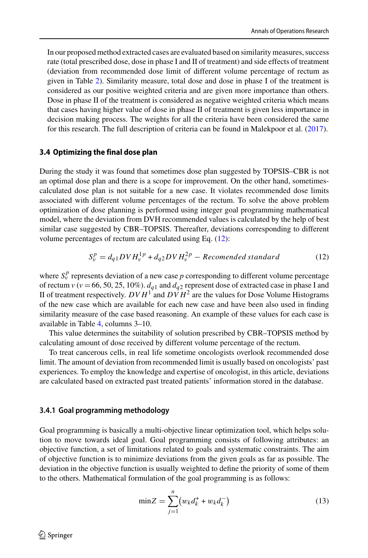In our proposed method extracted cases are evaluated based on similarity measures, success rate (total prescribed dose, dose in phase I and II of treatment) and side effects of treatment (deviation from recommended dose limit of different volume percentage of rectum as given in Table [2\)](#page-5-0). Similarity measure, total dose and dose in phase I of the treatment is considered as our positive weighted criteria and are given more importance than others. Dose in phase II of the treatment is considered as negative weighted criteria which means that cases having higher value of dose in phase II of treatment is given less importance in decision making process. The weights for all the criteria have been considered the same for this research. The full description of criteria can be found in Malekpoor et al. [\(2017\)](#page-21-19).

#### **3.4 Optimizing the final dose plan**

During the study it was found that sometimes dose plan suggested by TOPSIS–CBR is not an optimal dose plan and there is a scope for improvement. On the other hand, sometimescalculated dose plan is not suitable for a new case. It violates recommended dose limits associated with different volume percentages of the rectum. To solve the above problem optimization of dose planning is performed using integer goal programming mathematical model, where the deviation from DVH recommended values is calculated by the help of best similar case suggested by CBR–TOPSIS. Thereafter, deviations corresponding to different volume percentages of rectum are calculated using Eq. [\(12\)](#page-11-0):

<span id="page-11-0"></span>
$$
S_v^p = d_{q1} D V H_v^{1p} + d_{q2} D V H_v^{2p} - Recomended standard
$$
 (12)

where  $S_v^p$  represents deviation of a new case  $p$  corresponding to different volume percentage of rectum *v* (*v* = 66, 50, 25, 10%).  $d_{q1}$  and  $d_{q2}$  represent dose of extracted case in phase I and II of treatment respectively.  $D V H^1$  and  $D V H^2$  are the values for Dose Volume Histograms of the new case which are available for each new case and have been also used in finding similarity measure of the case based reasoning. An example of these values for each case is available in Table [4,](#page-12-0) columns 3–10.

This value determines the suitability of solution prescribed by CBR–TOPSIS method by calculating amount of dose received by different volume percentage of the rectum.

To treat cancerous cells, in real life sometime oncologists overlook recommended dose limit. The amount of deviation from recommended limit is usually based on oncologists' past experiences. To employ the knowledge and expertise of oncologist, in this article, deviations are calculated based on extracted past treated patients' information stored in the database.

#### <span id="page-11-1"></span>**3.4.1 Goal programming methodology**

Goal programming is basically a multi-objective linear optimization tool, which helps solution to move towards ideal goal. Goal programming consists of following attributes: an objective function, a set of limitations related to goals and systematic constraints. The aim of objective function is to minimize deviations from the given goals as far as possible. The deviation in the objective function is usually weighted to define the priority of some of them to the others. Mathematical formulation of the goal programming is as follows:

$$
\min Z = \sum_{j=1}^{n} (w_k d_k^+ + w_k d_k^-)
$$
 (13)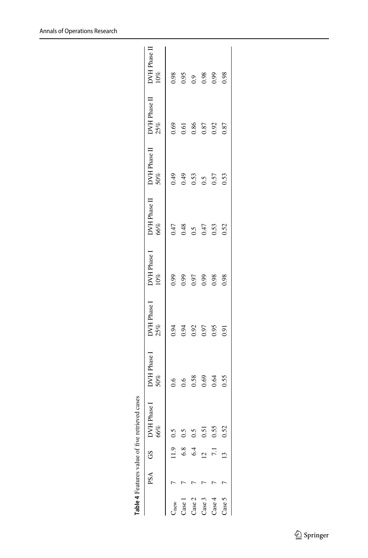|                                                                                |                  | PSA GS DVH Phase 1<br>66%                  | DVH Phase I<br>50% | DVH Phase I<br>25% | DVH Phase I<br>10% | DVH Phase II<br>66% | DVH Phase II<br>50% | DVH Phase II<br>25% | DVH Phase II<br>$10\%$ |
|--------------------------------------------------------------------------------|------------------|--------------------------------------------|--------------------|--------------------|--------------------|---------------------|---------------------|---------------------|------------------------|
| $T_{\text{new}}$                                                               | 11.9             | 0.5                                        |                    | 0.94               | 660                | 0.47                | $^{49}$             | 0.69                | 0.98                   |
|                                                                                | 6.8              | 0.5                                        |                    | 0.94               | 660                | 0.48                | 64.0                | 0.61                | 0.95                   |
|                                                                                | 6.4              |                                            | 0.58               | 0.92               | 0.97               | 0.5                 | 0.53                | 0.86                | $_{0.9}$               |
| $\begin{array}{c} \text{Case 1} \\ \text{Case 2} \\ \text{Case 3} \end{array}$ |                  | $\begin{array}{c} 0.5 \\ 0.51 \end{array}$ | 0.69               | 0.97               | 6.0                | 0.47                | 0.5                 | 0.87                | 86.0<br>0.99           |
| Case $4$                                                                       | $\overline{7.1}$ | 0.55                                       | 0.64               | 0.95               | 0.98               | 0.53                | 0.57                | 0.92                |                        |
| Case 5                                                                         |                  | 0.52                                       | 0.55               | 0.91               | 0.98               | 0.52                | 0.53                | 0.87                |                        |
|                                                                                |                  |                                            |                    |                    |                    |                     |                     |                     |                        |

<span id="page-12-0"></span>**Table 4** Features value of five retrieved cases

Table 4 Features value of five retrieved cases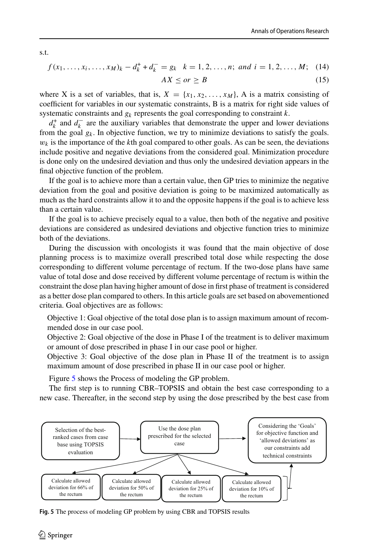s.t.

$$
f(x_1,...,x_i,...,x_M)_k - d_k^+ + d_k^- = g_k \quad k = 1, 2,..., n; \text{ and } i = 1, 2,..., M; \quad (14)
$$

$$
AX \leq or \geq B \tag{15}
$$

where X is a set of variables, that is,  $X = \{x_1, x_2, ..., x_M\}$ , A is a matrix consisting of coefficient for variables in our systematic constraints, B is a matrix for right side values of systematic constraints and *gk* represents the goal corresponding to constraint *k*.

 $d_k^+$  and  $d_k^-$  are the auxiliary variables that demonstrate the upper and lower deviations from the goal  $g_k$ . In objective function, we try to minimize deviations to satisfy the goals.  $w_k$  is the importance of the *k*th goal compared to other goals. As can be seen, the deviations include positive and negative deviations from the considered goal. Minimization procedure is done only on the undesired deviation and thus only the undesired deviation appears in the final objective function of the problem.

If the goal is to achieve more than a certain value, then GP tries to minimize the negative deviation from the goal and positive deviation is going to be maximized automatically as much as the hard constraints allow it to and the opposite happens if the goal is to achieve less than a certain value.

If the goal is to achieve precisely equal to a value, then both of the negative and positive deviations are considered as undesired deviations and objective function tries to minimize both of the deviations.

During the discussion with oncologists it was found that the main objective of dose planning process is to maximize overall prescribed total dose while respecting the dose corresponding to different volume percentage of rectum. If the two-dose plans have same value of total dose and dose received by different volume percentage of rectum is within the constraint the dose plan having higher amount of dose in first phase of treatment is considered as a better dose plan compared to others. In this article goals are set based on abovementioned criteria. Goal objectives are as follows:

Objective 1: Goal objective of the total dose plan is to assign maximum amount of recommended dose in our case pool.

Objective 2: Goal objective of the dose in Phase I of the treatment is to deliver maximum or amount of dose prescribed in phase I in our case pool or higher.

Objective 3: Goal objective of the dose plan in Phase II of the treatment is to assign maximum amount of dose prescribed in phase II in our case pool or higher.

Figure [5](#page-13-0) shows the Process of modeling the GP problem.

The first step is to running CBR–TOPSIS and obtain the best case corresponding to a new case. Thereafter, in the second step by using the dose prescribed by the best case from



<span id="page-13-0"></span>**Fig. 5** The process of modeling GP problem by using CBR and TOPSIS results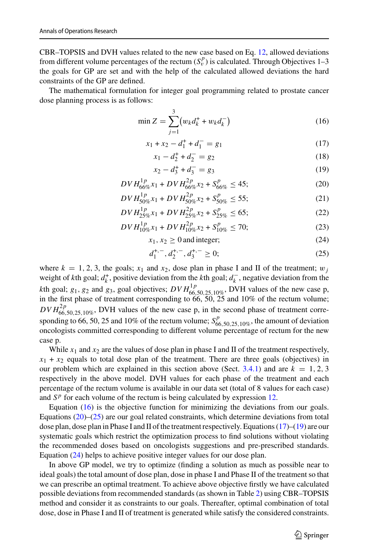CBR–TOPSIS and DVH values related to the new case based on Eq. [12,](#page-11-0) allowed deviations from different volume percentages of the rectum  $(S_v^p)$  is calculated. Through Objectives 1–3 the goals for GP are set and with the help of the calculated allowed deviations the hard constraints of the GP are defined.

The mathematical formulation for integer goal programming related to prostate cancer dose planning process is as follows:

$$
\min Z = \sum_{j=1}^{3} (w_k d_k^+ + w_k d_k^-)
$$
 (16)

$$
x_1 + x_2 - d_1^+ + d_1^- = g_1 \tag{17}
$$

<span id="page-14-3"></span><span id="page-14-0"></span>
$$
x_1 - d_2^+ + d_2^- = g_2 \tag{18}
$$

<span id="page-14-4"></span><span id="page-14-1"></span>
$$
x_2 - d_3^+ + d_3^- = g_3 \tag{19}
$$

$$
D V H_{66\%}^{1p} x_1 + D V H_{66\%}^{2p} x_2 + S_{66\%}^p \le 45; \tag{20}
$$

$$
DVI_{50\%}^{1p}x_1 + DVH_{50\%}^{2p}x_2 + S_{50\%}^p \le 55; \tag{21}
$$

$$
DVI_{25\%}^{1p}x_1 + DVH_{25\%}^{2p}x_2 + S_{25\%}^p \le 65; \tag{22}
$$

$$
DVI_{10\%}^{1p}x_1 + DVH_{10\%}^{2p}x_2 + S_{10\%}^p \le 70;
$$
\n(23)

$$
x_1, x_2 \ge 0 \text{ and integer};
$$
 (24)

<span id="page-14-5"></span><span id="page-14-2"></span>
$$
d_1^{+,-}, d_2^{+,-}, d_3^{+,-} \ge 0; \tag{25}
$$

where  $k = 1, 2, 3$ , the goals;  $x_1$  and  $x_2$ , dose plan in phase I and II of the treatment;  $w_j$ weight of *k*th goal;  $d_k^+$ , positive deviation from the *k*th goal;  $d_k^-$ , negative deviation from the *k*th goal;  $g_1$ ,  $g_2$  and  $g_3$ , goal objectives;  $DVH_{66,50,25,10\%}^{1p}$ , DVH values of the new case p, in the first phase of treatment corresponding to  $66, 50, 25$  and  $10\%$  of the rectum volume;  $DVI_{66,50,25,10\%}^{2p}$ , DVH values of the new case p, in the second phase of treatment corresponding to 66, 50, 25 and 10% of the rectum volume;  $S_{66,50,25,10\%}^p$ , the amount of deviation oncologists committed corresponding to different volume percentage of rectum for the new case p.

While  $x_1$  and  $x_2$  are the values of dose plan in phase I and II of the treatment respectively,  $x_1 + x_2$  equals to total dose plan of the treatment. There are three goals (objectives) in our problem which are explained in this section above (Sect.  $3.4.1$ ) and are  $k = 1, 2, 3$ respectively in the above model. DVH values for each phase of the treatment and each percentage of the rectum volume is available in our data set (total of 8 values for each case) and  $S<sup>p</sup>$  for each volume of the rectum is being calculated by expression [12.](#page-11-0)

Equation [\(16\)](#page-14-0) is the objective function for minimizing the deviations from our goals. Equations  $(20)$ – $(25)$  are our goal related constraints, which determine deviations from total dose plan, dose plan in Phase I and II of the treatment respectively. Equations [\(17\)](#page-14-3)–[\(19\)](#page-14-4) are our systematic goals which restrict the optimization process to find solutions without violating the recommended doses based on oncologists suggestions and pre-prescribed standards. Equation [\(24\)](#page-14-5) helps to achieve positive integer values for our dose plan.

In above GP model, we try to optimize (finding a solution as much as possible near to ideal goals) the total amount of dose plan, dose in phase I and Phase II of the treatment so that we can prescribe an optimal treatment. To achieve above objective firstly we have calculated possible deviations from recommended standards (as shown in Table [2\)](#page-5-0) using CBR–TOPSIS method and consider it as constraints to our goals. Thereafter, optimal combination of total dose, dose in Phase I and II of treatment is generated while satisfy the considered constraints.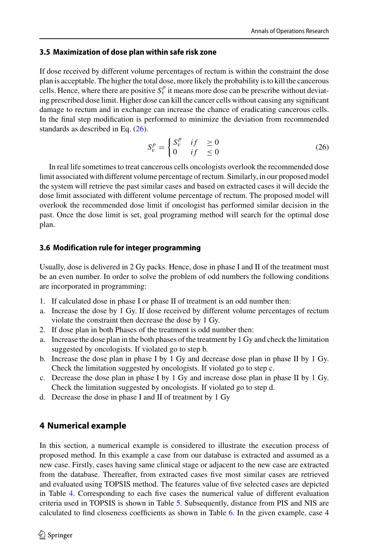### <span id="page-15-2"></span>**3.5 Maximization of dose plan within safe risk zone**

If dose received by different volume percentages of rectum is within the constraint the dose plan is acceptable. The higher the total dose, more likely the probability is to kill the cancerous cells. Hence, where there are positive  $S_v^p$  it means more dose can be prescribe without deviating prescribed dose limit. Higher dose can kill the cancer cells without causing any significant damage to rectum and in exchange can increase the chance of eradicating cancerous cells. In the final step modification is performed to minimize the deviation from recommended standards as described in Eq. [\(26\)](#page-15-1).

<span id="page-15-1"></span>
$$
S_v^p = \begin{cases} S_v^p & \text{if } \ge 0\\ 0 & \text{if } \le 0 \end{cases} \tag{26}
$$

In real life sometimes to treat cancerous cells oncologists overlook the recommended dose limit associated with different volume percentage of rectum. Similarly, in our proposed model the system will retrieve the past similar cases and based on extracted cases it will decide the dose limit associated with different volume percentage of rectum. The proposed model will overlook the recommended dose limit if oncologist has performed similar decision in the past. Once the dose limit is set, goal programing method will search for the optimal dose plan.

### **3.6 Modification rule for integer programming**

Usually, dose is delivered in 2 Gy packs. Hence, dose in phase I and II of the treatment must be an even number. In order to solve the problem of odd numbers the following conditions are incorporated in programming:

- 1. If calculated dose in phase I or phase II of treatment is an odd number then:
- a. Increase the dose by 1 Gy. If dose received by different volume percentages of rectum violate the constraint then decrease the dose by 1 Gy.
- 2. If dose plan in both Phases of the treatment is odd number then:
- a. Increase the dose plan in the both phases of the treatment by 1 Gy and check the limitation suggested by oncologists. If violated go to step b.
- b. Increase the dose plan in phase I by 1 Gy and decrease dose plan in phase II by 1 Gy. Check the limitation suggested by oncologists. If violated go to step c.
- c. Decrease the dose plan in phase I by 1 Gy and increase dose plan in phase II by 1 Gy. Check the limitation suggested by oncologists. If violated go to step d.
- d. Decrease the dose in phase I and II of treatment by 1 Gy

## <span id="page-15-0"></span>**4 Numerical example**

In this section, a numerical example is considered to illustrate the execution process of proposed method. In this example a case from our database is extracted and assumed as a new case. Firstly, cases having same clinical stage or adjacent to the new case are extracted from the database. Thereafter, from extracted cases five most similar cases are retrieved and evaluated using TOPSIS method. The features value of five selected cases are depicted in Table [4.](#page-12-0) Corresponding to each five cases the numerical value of different evaluation criteria used in TOPSIS is shown in Table [5.](#page-16-0) Subsequently, distance from PIS and NIS are calculated to find closeness coefficients as shown in Table [6.](#page-16-1) In the given example, case 4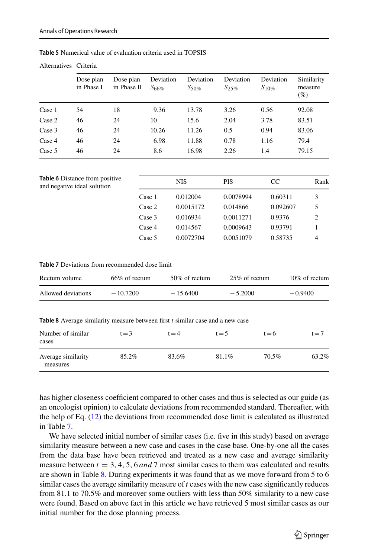| Alternatives Criteria |                         |                          |                         |                         |                         |                         |                              |
|-----------------------|-------------------------|--------------------------|-------------------------|-------------------------|-------------------------|-------------------------|------------------------------|
|                       | Dose plan<br>in Phase I | Dose plan<br>in Phase II | Deviation<br>$S_{66\%}$ | Deviation<br>$S_{50\%}$ | Deviation<br>$S_{25\%}$ | Deviation<br>$S_{10\%}$ | Similarity<br>measure<br>(%) |
| Case 1                | 54                      | 18                       | 9.36                    | 13.78                   | 3.26                    | 0.56                    | 92.08                        |
| Case 2                | 46                      | 24                       | 10                      | 15.6                    | 2.04                    | 3.78                    | 83.51                        |
| Case 3                | 46                      | 24                       | 10.26                   | 11.26                   | 0.5                     | 0.94                    | 83.06                        |
| Case 4                | 46                      | 24                       | 6.98                    | 11.88                   | 0.78                    | 1.16                    | 79.4                         |
| Case 5                | 46                      | 24                       | 8.6                     | 16.98                   | 2.26                    | 1.4                     | 79.15                        |

<span id="page-16-0"></span>**Table 5** Numerical value of evaluation criteria used in TOPSIS

<span id="page-16-1"></span>

| <b>Table 6</b> Distance from positive |        | <b>NIS</b> | <b>PIS</b> | <sub>CC</sub> | Rank |
|---------------------------------------|--------|------------|------------|---------------|------|
| and negative ideal solution           |        |            |            |               |      |
|                                       | Case 1 | 0.012004   | 0.0078994  | 0.60311       | 3    |
|                                       | Case 2 | 0.0015172  | 0.014866   | 0.092607      | 5    |
|                                       | Case 3 | 0.016934   | 0.0011271  | 0.9376        | 2    |
|                                       | Case 4 | 0.014567   | 0.0009643  | 0.93791       |      |
|                                       | Case 5 | 0.0072704  | 0.0051079  | 0.58735       | 4    |

<span id="page-16-2"></span>**Table 7** Deviations from recommended dose limit

| Rectum volume      | $66\%$ of rectum | 50\% of rectum | 25\% of rectum | $10\%$ of rectum |
|--------------------|------------------|----------------|----------------|------------------|
| Allowed deviations | $-10.7200$       | $-15,6400$     | $-5.2000$      | $-0.9400$        |

**Table 8** Average similarity measure between first *t* similar case and a new case

<span id="page-16-3"></span>

| Number of similar<br>cases     | $t = 3$ | $t = 4$ | $t = 5$ | $t = 6$ | $t = 7$ |
|--------------------------------|---------|---------|---------|---------|---------|
| Average similarity<br>measures | 85.2%   | 83.6%   | 81.1%   | 70.5%   | 63.2%   |

has higher closeness coefficient compared to other cases and thus is selected as our guide (as an oncologist opinion) to calculate deviations from recommended standard. Thereafter, with the help of Eq. [\(12\)](#page-11-0) the deviations from recommended dose limit is calculated as illustrated in Table [7.](#page-16-2)

We have selected initial number of similar cases (i.e. five in this study) based on average similarity measure between a new case and cases in the case base. One-by-one all the cases from the data base have been retrieved and treated as a new case and average similarity measure between  $t = 3, 4, 5, 6$  *and* 7 most similar cases to them was calculated and results are shown in Table [8.](#page-16-3) During experiments it was found that as we move forward from 5 to 6 similar cases the average similarity measure of *t* cases with the new case significantly reduces from 81.1 to 70.5% and moreover some outliers with less than 50% similarity to a new case were found. Based on above fact in this article we have retrieved 5 most similar cases as our initial number for the dose planning process.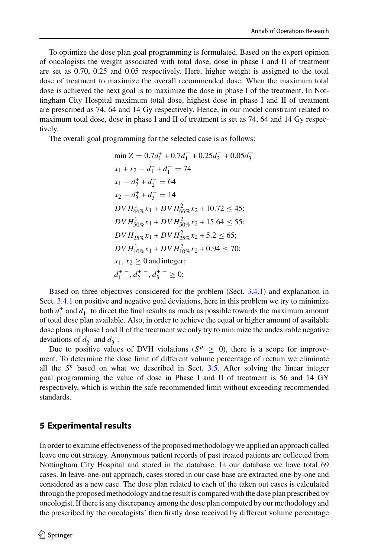To optimize the dose plan goal programming is formulated. Based on the expert opinion of oncologists the weight associated with total dose, dose in phase I and II of treatment are set as 0.70, 0.25 and 0.05 respectively. Here, higher weight is assigned to the total dose of treatment to maximize the overall recommended dose. When the maximum total dose is achieved the next goal is to maximize the dose in phase I of the treatment. In Nottingham City Hospital maximum total dose, highest dose in phase I and II of treatment are prescribed as 74, 64 and 14 Gy respectively. Hence, in our model constraint related to maximum total dose, dose in phase I and II of treatment is set as 74, 64 and 14 Gy respectively.

The overall goal programming for the selected case is as follows:

$$
\min Z = 0.7d_1^+ + 0.7d_1^- + 0.25d_2^- + 0.05d_3^-
$$
  
\n
$$
x_1 + x_2 - d_1^+ + d_1^- = 74
$$
  
\n
$$
x_1 - d_2^+ + d_2^- = 64
$$
  
\n
$$
x_2 - d_3^+ + d_3^- = 14
$$
  
\n
$$
DVH_{60\%}^1 x_1 + DVH_{60\%}^2 x_2 + 10.72 \le 45;
$$
  
\n
$$
DVH_{50\%}^1 x_1 + DVH_{50\%}^2 x_2 + 15.64 \le 55;
$$
  
\n
$$
DVH_{10\%}^1 x_1 + DVH_{25\%}^2 x_2 + 5.2 \le 65;
$$
  
\n
$$
DVH_{10\%}^1 x_1 + DVH_{10\%}^2 x_2 + 0.94 \le 70;
$$
  
\n
$$
x_1, x_2 \ge 0 \text{ and integer};
$$
  
\n
$$
d_1^{+,-}, d_2^{+,-}, d_3^{+,-} \ge 0;
$$

Based on three objectives considered for the problem (Sect. [3.4.1\)](#page-11-1) and explanation in Sect. [3.4.1](#page-11-1) on positive and negative goal deviations, here in this problem we try to minimize both  $d_1^+$  and  $d_1^-$  to direct the final results as much as possible towards the maximum amount of total dose plan available. Also, in order to achieve the equal or higher amount of available dose plans in phase I and II of the treatment we only try to minimize the undesirable negative deviations of  $d_2^-$  and  $d_3^-$ .

Due to positive values of DVH violations ( $S^p \geq 0$ ), there is a scope for improvement. To determine the dose limit of different volume percentage of rectum we eliminate all the  $S^k$  based on what we described in Sect. [3.5.](#page-15-2) After solving the linear integer goal programming the value of dose in Phase I and II of treatment is 56 and 14 GY respectively, which is within the safe recommended limit without exceeding recommended standards.

## <span id="page-17-0"></span>**5 Experimental results**

In order to examine effectiveness of the proposed methodology we applied an approach called leave one out strategy. Anonymous patient records of past treated patients are collected from Nottingham City Hospital and stored in the database. In our database we have total 69 cases. In leave-one-out approach, cases stored in our case base are extracted one-by-one and considered as a new case. The dose plan related to each of the taken out cases is calculated through the proposed methodology and the result is compared with the dose plan prescribed by oncologist. If there is any discrepancy among the dose plan computed by our methodology and the prescribed by the oncologists' then firstly dose received by different volume percentage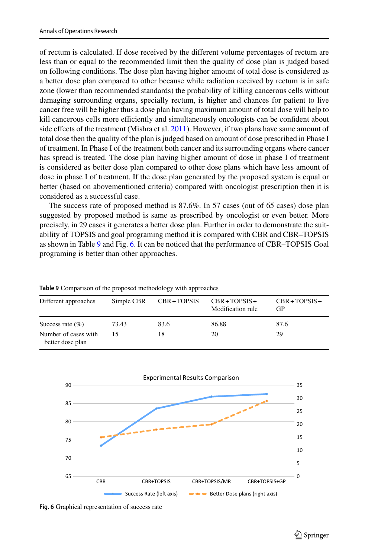of rectum is calculated. If dose received by the different volume percentages of rectum are less than or equal to the recommended limit then the quality of dose plan is judged based on following conditions. The dose plan having higher amount of total dose is considered as a better dose plan compared to other because while radiation received by rectum is in safe zone (lower than recommended standards) the probability of killing cancerous cells without damaging surrounding organs, specially rectum, is higher and chances for patient to live cancer free will be higher thus a dose plan having maximum amount of total dose will help to kill cancerous cells more efficiently and simultaneously oncologists can be confident about side effects of the treatment (Mishra et al. [2011\)](#page-21-22). However, if two plans have same amount of total dose then the quality of the plan is judged based on amount of dose prescribed in Phase I of treatment. In Phase I of the treatment both cancer and its surrounding organs where cancer has spread is treated. The dose plan having higher amount of dose in phase I of treatment is considered as better dose plan compared to other dose plans which have less amount of dose in phase I of treatment. If the dose plan generated by the proposed system is equal or better (based on abovementioned criteria) compared with oncologist prescription then it is considered as a successful case.

The success rate of proposed method is 87.6%. In 57 cases (out of 65 cases) dose plan suggested by proposed method is same as prescribed by oncologist or even better. More precisely, in 29 cases it generates a better dose plan. Further in order to demonstrate the suitability of TOPSIS and goal programing method it is compared with CBR and CBR–TOPSIS as shown in Table [9](#page-18-0) and Fig. [6.](#page-18-1) It can be noticed that the performance of CBR–TOPSIS Goal programing is better than other approaches.

<span id="page-18-0"></span>

| Different approaches                     | Simple CBR | CBR+TOPSIS | $CBR + TOPSIS +$<br>Modification rule | $CBR + TOPSIS +$<br>GP |
|------------------------------------------|------------|------------|---------------------------------------|------------------------|
| Success rate $(\% )$                     | 73.43      | 83.6       | 86.88                                 | 87.6                   |
| Number of cases with<br>better dose plan | 15         | 18         | 20                                    | 29                     |

**Table 9** Comparison of the proposed methodology with approaches



<span id="page-18-1"></span>**Fig. 6** Graphical representation of success rate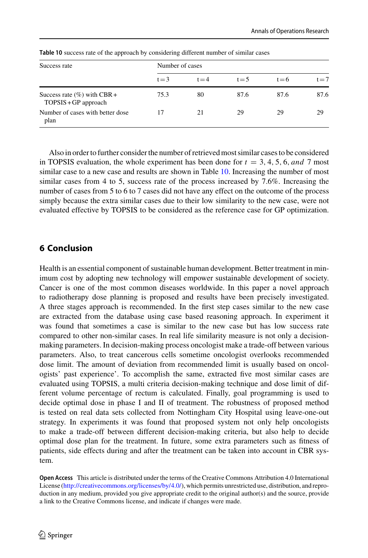<span id="page-19-1"></span>

| Success rate                                              | Number of cases |         |         |         |         |
|-----------------------------------------------------------|-----------------|---------|---------|---------|---------|
|                                                           | $t = 3$         | $t = 4$ | $t = 5$ | $t = 6$ | $t = 7$ |
| Success rate $(\% )$ with CBR +<br>$TOPSIS + GP$ approach | 75.3            | 80      | 87.6    | 87.6    | 87.6    |
| Number of cases with better dose<br>plan                  | 17              | 21      | 29      | 29      | 29      |

**Table 10** success rate of the approach by considering different number of similar cases

Also in order to further consider the number of retrieved most similar cases to be considered in TOPSIS evaluation, the whole experiment has been done for  $t = 3, 4, 5, 6, and 7$  most similar case to a new case and results are shown in Table [10.](#page-19-1) Increasing the number of most similar cases from 4 to 5, success rate of the process increased by 7.6%. Increasing the number of cases from 5 to 6 to 7 cases did not have any effect on the outcome of the process simply because the extra similar cases due to their low similarity to the new case, were not evaluated effective by TOPSIS to be considered as the reference case for GP optimization.

## <span id="page-19-0"></span>**6 Conclusion**

Health is an essential component of sustainable human development. Better treatment in minimum cost by adopting new technology will empower sustainable development of society. Cancer is one of the most common diseases worldwide. In this paper a novel approach to radiotherapy dose planning is proposed and results have been precisely investigated. A three stages approach is recommended. In the first step cases similar to the new case are extracted from the database using case based reasoning approach. In experiment it was found that sometimes a case is similar to the new case but has low success rate compared to other non-similar cases. In real life similarity measure is not only a decisionmaking parameters. In decision-making process oncologist make a trade-off between various parameters. Also, to treat cancerous cells sometime oncologist overlooks recommended dose limit. The amount of deviation from recommended limit is usually based on oncologists' past experience'. To accomplish the same, extracted five most similar cases are evaluated using TOPSIS, a multi criteria decision-making technique and dose limit of different volume percentage of rectum is calculated. Finally, goal programming is used to decide optimal dose in phase I and II of treatment. The robustness of proposed method is tested on real data sets collected from Nottingham City Hospital using leave-one-out strategy. In experiments it was found that proposed system not only help oncologists to make a trade-off between different decision-making criteria, but also help to decide optimal dose plan for the treatment. In future, some extra parameters such as fitness of patients, side effects during and after the treatment can be taken into account in CBR system.

**Open Access** This article is distributed under the terms of the Creative Commons Attribution 4.0 International License [\(http://creativecommons.org/licenses/by/4.0/\)](http://creativecommons.org/licenses/by/4.0/), which permits unrestricted use, distribution, and reproduction in any medium, provided you give appropriate credit to the original author(s) and the source, provide a link to the Creative Commons license, and indicate if changes were made.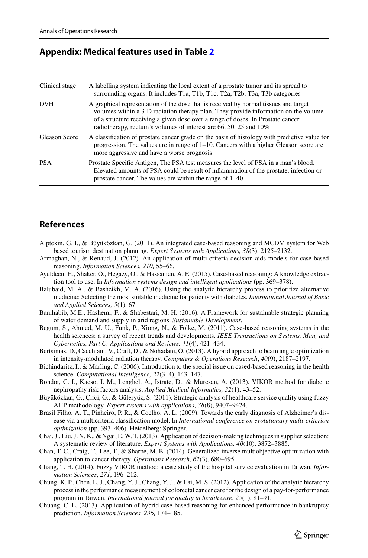### <span id="page-20-16"></span>**Appendix: Medical features used in Table [2](#page-5-0)**

| Clinical stage | A labelling system indicating the local extent of a prostate tumor and its spread to<br>surrounding organs. It includes T1a, T1b, T1c, T2a, T2b, T3a, T3b categories                                                                                                                                                                |
|----------------|-------------------------------------------------------------------------------------------------------------------------------------------------------------------------------------------------------------------------------------------------------------------------------------------------------------------------------------|
| <b>DVH</b>     | A graphical representation of the dose that is received by normal tissues and target<br>volumes within a 3-D radiation therapy plan. They provide information on the volume<br>of a structure receiving a given dose over a range of doses. In Prostate cancer<br>radiotherapy, rectum's volumes of interest are 66, 50, 25 and 10% |
| Gleason Score  | A classification of prostate cancer grade on the basis of histology with predictive value for<br>progression. The values are in range of $1-10$ . Cancers with a higher Gleason score are<br>more aggressive and have a worse prognosis                                                                                             |
| <b>PSA</b>     | Prostate Specific Antigen, The PSA test measures the level of PSA in a man's blood.<br>Elevated amounts of PSA could be result of inflammation of the prostate, infection or<br>prostate cancer. The values are within the range of 1–40                                                                                            |

## **References**

- <span id="page-20-13"></span>Alptekin, G. I., & Büyüközkan, G. (2011). An integrated case-based reasoning and MCDM system for Web based tourism destination planning. *Expert Systems with Applications, 38*(3), 2125–2132.
- <span id="page-20-14"></span>Armaghan, N., & Renaud, J. (2012). An application of multi-criteria decision aids models for case-based reasoning. *Information Sciences, 210,* 55–66.
- <span id="page-20-0"></span>Ayeldeen, H., Shaker, O., Hegazy, O., & Hassanien, A. E. (2015). Case-based reasoning: A knowledge extraction tool to use. In *Information systems design and intelligent applications* (pp. 369–378).
- <span id="page-20-10"></span>Balubaid, M. A., & Basheikh, M. A. (2016). Using the analytic hierarchy process to prioritize alternative medicine: Selecting the most suitable medicine for patients with diabetes. *International Journal of Basic and Applied Sciences, 5*(1), 67.
- <span id="page-20-4"></span>Banihabib, M.E., Hashemi, F., & Shabestari, M. H. (2016). A Framework for sustainable strategic planning of water demand and supply in arid regions. *Sustainable Development*.
- <span id="page-20-1"></span>Begum, S., Ahmed, M. U., Funk, P., Xiong, N., & Folke, M. (2011). Case-based reasoning systems in the health sciences: a survey of recent trends and developments. *IEEE Transactions on Systems, Man, and Cybernetics, Part C: Applications and Reviews, 41*(4), 421–434.
- <span id="page-20-11"></span>Bertsimas, D., Cacchiani, V., Craft, D., & Nohadani, O. (2013). A hybrid approach to beam angle optimization in intensity-modulated radiation therapy. *Computers & Operations Research*, *40*(9), 2187–2197.
- <span id="page-20-2"></span>Bichindaritz, I., & Marling, C. (2006). Introduction to the special issue on cased-based reasoning in the health science. *Computational Intelligence, 22*(3–4), 143–147.
- <span id="page-20-9"></span>Bondor, C. I., Kacso, I. M., Lenghel, A., Istrate, D., & Muresan, A. (2013). VIKOR method for diabetic nephropathy risk factors analysis. *Applied Medical Informatics, 32*(1), 43–52.
- <span id="page-20-5"></span>Büyüközkan, G., Çifçi, G., & Güleryüz, S. (2011). Strategic analysis of healthcare service quality using fuzzy AHP methodology. *Expert systems with applications*, *38*(8), 9407–9424.
- <span id="page-20-8"></span>Brasil Filho, A. T., Pinheiro, P. R., & Coelho, A. L. (2009). Towards the early diagnosis of Alzheimer's disease via a multicriteria classification model. In *International conference on evolutionary multi-criterion optimization* (pp. 393–406). Heidelberg: Springer.
- <span id="page-20-3"></span>Chai, J., Liu, J. N. K., & Ngai, E. W. T. (2013). Application of decision-making techniques in supplier selection: A systematic review of literature. *Expert Systems with Applications, 40*(10), 3872–3885.
- <span id="page-20-12"></span>Chan, T. C., Craig, T., Lee, T., & Sharpe, M. B. (2014). Generalized inverse multiobjective optimization with application to cancer therapy. *Operations Research, 62*(3), 680–695.
- <span id="page-20-6"></span>Chang, T. H. (2014). Fuzzy VIKOR method: a case study of the hospital service evaluation in Taiwan. *Information Sciences*, *271*, 196–212.
- <span id="page-20-7"></span>Chung, K. P., Chen, L. J., Chang, Y. J., Chang, Y. J., & Lai, M. S. (2012). Application of the analytic hierarchy process in the performance measurement of colorectal cancer care for the design of a pay-for-performance program in Taiwan. *International journal for quality in health care*, *25*(1), 81–91.
- <span id="page-20-15"></span>Chuang, C. L. (2013). Application of hybrid case-based reasoning for enhanced performance in bankruptcy prediction. *Information Sciences, 236,* 174–185.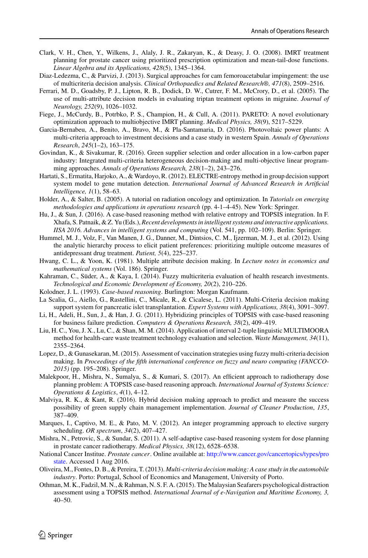- <span id="page-21-16"></span>Clark, V. H., Chen, Y., Wilkens, J., Alaly, J. R., Zakaryan, K., & Deasy, J. O. (2008). IMRT treatment planning for prostate cancer using prioritized prescription optimization and mean-tail-dose functions. *Linear Algebra and its Applications, 428*(5), 1345–1364.
- <span id="page-21-12"></span>Diaz-Ledezma, C., & Parvizi, J. (2013). Surgical approaches for cam femoroacetabular impingement: the use of multicriteria decision analysis. *Clinical Orthopaedics and Related Research®, 471*(8), 2509–2516.
- <span id="page-21-8"></span>Ferrari, M. D., Goadsby, P. J., Lipton, R. B., Dodick, D. W., Cutrer, F. M., McCrory, D., et al. (2005). The use of multi-attribute decision models in evaluating triptan treatment options in migraine. *Journal of Neurology, 252*(9), 1026–1032.
- <span id="page-21-0"></span>Fiege, J., McCurdy, B., Potrbko, P. S., Champion, H., & Cull, A. (2011). PARETO: A novel evolutionary optimization approach to multiobjective IMRT planning. *Medical Physics, 38*(9), 5217–5229.
- <span id="page-21-3"></span>Garcia-Bernabeu, A., Benito, A., Bravo, M., & Pla-Santamaria, D. (2016). Photovoltaic power plants: A multi-criteria approach to investment decisions and a case study in western Spain. *Annals of Operations Research*, *245*(1–2), 163–175.
- <span id="page-21-4"></span>Govindan, K., & Sivakumar, R. (2016). Green supplier selection and order allocation in a low-carbon paper industry: Integrated multi-criteria heterogeneous decision-making and multi-objective linear programming approaches. *Annals of Operations Research, 238*(1–2), 243–276.
- <span id="page-21-9"></span>Hartati, S., Ermatita, Harjoko, A., & Wardoyo, R. (2012). ELECTRE-entropy method in group decision support system model to gene mutation detection. *International Journal of Advanced Research in Artificial Intelligence, 1*(1), 58–63.
- <span id="page-21-20"></span>Holder, A., & Salter, B. (2005). A tutorial on radiation oncology and optimization. In *Tutorials on emerging methodologies and applications in operations research* (pp. 4-1–4-45). New York: Springer.
- <span id="page-21-18"></span>Hu, J., & Sun, J. (2016). A case-based reasoning method with relative entropy and TOPSIS integration. In F. Xhafa, S. Patnaik, & Z. Yu (Eds.), *Recent developments in intelligent systems and interactive applications. IISA 2016. Advances in intelligent systems and computing* (Vol. 541, pp. 102–109). Berlin: Springer.
- <span id="page-21-11"></span>Hummel, M. J., Volz, F., Van Manen, J. G., Danner, M., Dintsios, C. M., Ijzerman, M. J., et al. (2012). Using the analytic hierarchy process to elicit patient preferences: prioritizing multiple outcome measures of antidepressant drug treatment. *Patient, 5*(4), 225–237.
- <span id="page-21-21"></span>Hwang, C. L., & Yoon, K. (1981). Multiple attribute decision making. In *Lecture notes in economics and mathematical systems* (Vol. 186). Springer.
- <span id="page-21-6"></span>Kahraman, C., Süder, A., & Kaya, I. (2014). Fuzzy multicriteria evaluation of health research investments. *Technological and Economic Development of Economy, 20*(2), 210–226.
- <span id="page-21-1"></span>Kolodner, J. L. (1993). *Case-based reasoning*. Burlington: Morgan Kaufmann.
- <span id="page-21-10"></span>La Scalia, G., Aiello, G., Rastellini, C., Micale, R., & Cicalese, L. (2011). Multi-Criteria decision making support system for pancreatic islet transplantation. *Expert Systems with Applications, 38*(4), 3091–3097.
- <span id="page-21-17"></span>Li, H., Adeli, H., Sun, J., & Han, J. G. (2011). Hybridizing principles of TOPSIS with case-based reasoning for business failure prediction. *Computers & Operations Research, 38*(2), 409–419.
- <span id="page-21-7"></span>Liu, H. C., You, J. X., Lu, C., & Shan, M. M. (2014). Application of interval 2-tuple linguistic MULTIMOORA method for health-care waste treatment technology evaluation and selection. *Waste Management, 34*(11), 2355–2364.
- <span id="page-21-14"></span>Lopez, D., & Gunasekaran, M. (2015). Assessment of vaccination strategies using fuzzy multi-criteria decision making. In *Proceedings of the fifth international conference on fuzzy and neuro computing (FANCCO*-*2015)* (pp. 195–208). Springer.
- <span id="page-21-19"></span>Malekpoor, H., Mishra, N., Sumalya, S., & Kumari, S. (2017). An efficient approach to radiotherapy dose planning problem: A TOPSIS case-based reasoning approach. *International Journal of Systems Science: Operations & Logistics*, *4*(1), 4–12.
- <span id="page-21-5"></span>Malviya, R. K., & Kant, R. (2016). Hybrid decision making approach to predict and measure the success possibility of green supply chain management implementation. *Journal of Cleaner Production*, *135*, 387–409.
- <span id="page-21-15"></span>Marques, I., Captivo, M. E., & Pato, M. V. (2012). An integer programming approach to elective surgery scheduling. *OR spectrum*, *34*(2), 407–427.
- <span id="page-21-22"></span>Mishra, N., Petrovic, S., & Sundar, S. (2011). A self-adaptive case-based reasoning system for dose planning in prostate cancer radiotherapy. *Medical Physics, 38*(12), 6528–6538.
- National Cancer Institue. *Prostate cancer*. Online available at: [http://www.cancer.gov/cancertopics/types/pro](http://www.cancer.gov/cancertopics/types/prostate) state. Accessed 1 Aug 2016.
- <span id="page-21-2"></span>Oliveira, M., Fontes, D. B., & Pereira, T. (2013). *Multi-criteria decision making: A case study in the automobile industry*. Porto: Portugal, School of Economics and Management, University of Porto.
- <span id="page-21-13"></span>Othman, M. K., Fadzil, M. N., & Rahman, N. S. F. A. (2015). The Malaysian Seafarers psychological distraction assessment using a TOPSIS method. *International Journal of e-Navigation and Maritime Economy, 3,* 40–50.